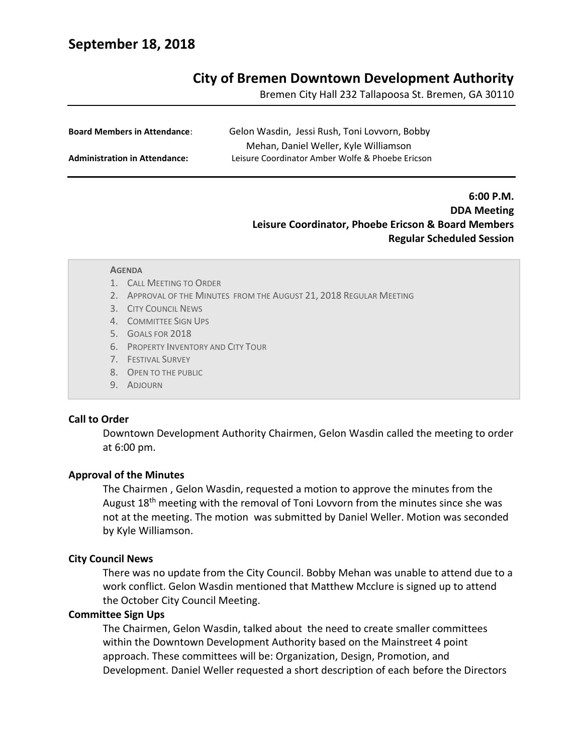# **September 18, 2018**

# **City of Bremen Downtown Development Authority**

Bremen City Hall 232 Tallapoosa St. Bremen, GA 30110

| <b>Board Members in Attendance:</b>  | Gelon Wasdin, Jessi Rush, Toni Lovvorn, Bobby    |
|--------------------------------------|--------------------------------------------------|
|                                      | Mehan, Daniel Weller, Kyle Williamson            |
| <b>Administration in Attendance:</b> | Leisure Coordinator Amber Wolfe & Phoebe Ericson |

# **6:00 P.M. DDA Meeting Leisure Coordinator, Phoebe Ericson & Board Members Regular Scheduled Session**

#### **AGENDA**

- 1. CALL MEETING TO ORDER
- 2. APPROVAL OF THE MINUTES FROM THE AUGUST 21, 2018 REGULAR MEETING
- 3. CITY COUNCIL NEWS
- 4. COMMITTEE SIGN UPS
- 5. GOALS FOR 2018
- 6. PROPERTY INVENTORY AND CITY TOUR
- 7. FESTIVAL SURVEY
- 8. OPEN TO THE PUBLIC
- 9. ADJOURN

#### **Call to Order**

Downtown Development Authority Chairmen, Gelon Wasdin called the meeting to order at 6:00 pm.

#### **Approval of the Minutes**

The Chairmen , Gelon Wasdin, requested a motion to approve the minutes from the August 18<sup>th</sup> meeting with the removal of Toni Lovvorn from the minutes since she was not at the meeting. The motion was submitted by Daniel Weller. Motion was seconded by Kyle Williamson.

### **City Council News**

There was no update from the City Council. Bobby Mehan was unable to attend due to a work conflict. Gelon Wasdin mentioned that Matthew Mcclure is signed up to attend the October City Council Meeting.

#### **Committee Sign Ups**

The Chairmen, Gelon Wasdin, talked about the need to create smaller committees within the Downtown Development Authority based on the Mainstreet 4 point approach. These committees will be: Organization, Design, Promotion, and Development. Daniel Weller requested a short description of each before the Directors